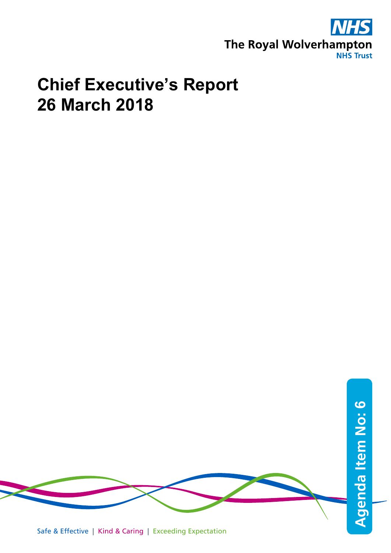

## **Chief Executive's Report 26 March 2018**



Safe & Effective | Kind & Caring | Exceeding Expectation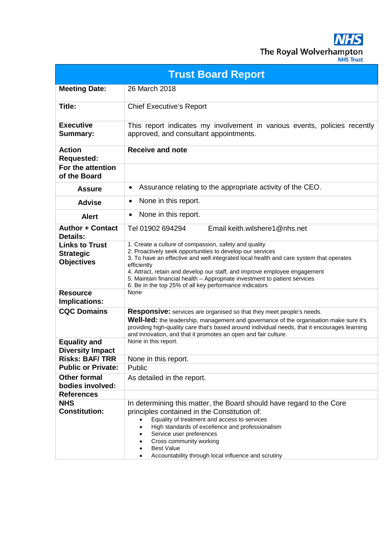**NHS** The Royal Wolverhampton

| <b>JHS Trust</b> |  |
|------------------|--|
|                  |  |
|                  |  |

| <b>Trust Board Report</b>                                      |                                                                                                                                                                                                                                                                                                                                                                                                                                                 |  |
|----------------------------------------------------------------|-------------------------------------------------------------------------------------------------------------------------------------------------------------------------------------------------------------------------------------------------------------------------------------------------------------------------------------------------------------------------------------------------------------------------------------------------|--|
| <b>Meeting Date:</b>                                           | 26 March 2018                                                                                                                                                                                                                                                                                                                                                                                                                                   |  |
| Title:                                                         | <b>Chief Executive's Report</b>                                                                                                                                                                                                                                                                                                                                                                                                                 |  |
| <b>Executive</b><br><b>Summary:</b>                            | This report indicates my involvement in various events, policies recently<br>approved, and consultant appointments.                                                                                                                                                                                                                                                                                                                             |  |
| <b>Action</b><br><b>Requested:</b>                             | <b>Receive and note</b>                                                                                                                                                                                                                                                                                                                                                                                                                         |  |
| For the attention<br>of the Board                              |                                                                                                                                                                                                                                                                                                                                                                                                                                                 |  |
| <b>Assure</b>                                                  | Assurance relating to the appropriate activity of the CEO.<br>٠                                                                                                                                                                                                                                                                                                                                                                                 |  |
| <b>Advise</b>                                                  | None in this report.<br>٠                                                                                                                                                                                                                                                                                                                                                                                                                       |  |
| <b>Alert</b>                                                   | None in this report.<br>$\bullet$                                                                                                                                                                                                                                                                                                                                                                                                               |  |
| <b>Author + Contact</b><br><b>Details:</b>                     | Tel 01902 694294<br>Email keith.wilshere1@nhs.net                                                                                                                                                                                                                                                                                                                                                                                               |  |
| <b>Links to Trust</b><br><b>Strategic</b><br><b>Objectives</b> | 1. Create a culture of compassion, safety and quality<br>2. Proactively seek opportunities to develop our services<br>3. To have an effective and well integrated local health and care system that operates<br>efficiently<br>4. Attract, retain and develop our staff, and improve employee engagement<br>5. Maintain financial health - Appropriate investment to patient services<br>6. Be in the top 25% of all key performance indicators |  |
| <b>Resource</b><br>Implications:                               | None                                                                                                                                                                                                                                                                                                                                                                                                                                            |  |
| <b>CQC Domains</b>                                             | <b>Responsive:</b> services are organised so that they meet people's needs.<br>Well-led: the leadership, management and governance of the organisation make sure it's<br>providing high-quality care that's based around individual needs, that it encourages learning<br>and innovation, and that it promotes an open and fair culture.                                                                                                        |  |
| <b>Equality and</b><br><b>Diversity Impact</b>                 | None in this report.                                                                                                                                                                                                                                                                                                                                                                                                                            |  |
| <b>Risks: BAF/TRR</b>                                          | None in this report.                                                                                                                                                                                                                                                                                                                                                                                                                            |  |
| <b>Public or Private:</b>                                      | Public                                                                                                                                                                                                                                                                                                                                                                                                                                          |  |
| <b>Other formal</b><br>bodies involved:                        | As detailed in the report.                                                                                                                                                                                                                                                                                                                                                                                                                      |  |
| <b>References</b>                                              |                                                                                                                                                                                                                                                                                                                                                                                                                                                 |  |
| <b>NHS</b><br><b>Constitution:</b>                             | In determining this matter, the Board should have regard to the Core<br>principles contained in the Constitution of:<br>Equality of treatment and access to services<br>High standards of excellence and professionalism<br>Service user preferences<br>Cross community working<br><b>Best Value</b>                                                                                                                                            |  |
|                                                                | Accountability through local influence and scrutiny                                                                                                                                                                                                                                                                                                                                                                                             |  |